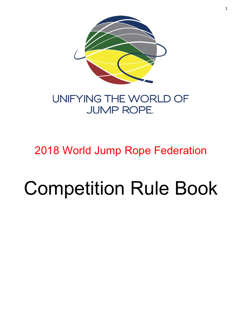

# UNIFYING THE WORLD OF **JUMP ROPE.**

# 2018 World Jump Rope Federation

# Competition Rule Book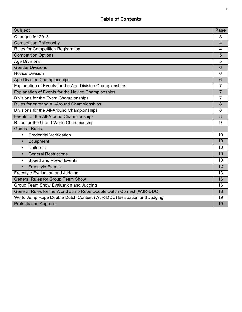# **Table of Contents**

| <b>Subject</b>                                                        | Page           |
|-----------------------------------------------------------------------|----------------|
| Changes for 2018                                                      | 3              |
| <b>Competition Philosophy</b>                                         | $\overline{4}$ |
| <b>Rules for Competition Registration</b>                             | 4              |
| <b>Competition Options</b>                                            | 5              |
| <b>Age Divisions</b>                                                  | 5              |
| <b>Gender Divisions</b>                                               | 6              |
| <b>Novice Division</b>                                                | 6              |
| <b>Age Division Championships</b>                                     | 6              |
| Explanation of Events for the Age Division Championships              | $\overline{7}$ |
| Explanation of Events for the Novice Championships                    | $\overline{7}$ |
| Divisions for the Event Championships                                 | 7              |
| Rules for entering All-Around Championships                           | 8              |
| Divisions for the All-Around Championships                            | 8              |
| Events for the All-Around Championships                               | 8              |
| Rules for the Grand World Championship                                | 9              |
| <b>General Rules:</b>                                                 |                |
| <b>Credential Verification</b><br>$\bullet$                           | 10             |
| Equipment<br>$\bullet$                                                | 10             |
| Uniforms<br>$\bullet$                                                 | 10             |
| <b>General Restrictions</b><br>$\bullet$                              | 10             |
| <b>Speed and Power Events</b><br>$\bullet$                            | 10             |
| <b>Freestyle Events</b><br>$\bullet$                                  | 12             |
| Freestyle Evaluation and Judging                                      | 13             |
| <b>General Rules for Group Team Show</b>                              | 16             |
| Group Team Show Evaluation and Judging                                | 16             |
| General Rules for the World Jump Rope Double Dutch Contest (WJR-DDC)  | 18             |
| World Jump Rope Double Dutch Contest (WJR-DDC) Evaluation and Judging | 19             |
| <b>Protests and Appeals</b>                                           | 19             |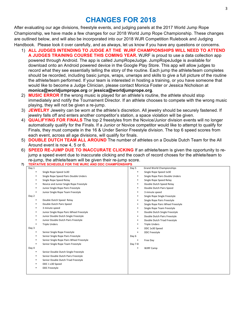# **CHANGES FOR 2018**

After evaluating our age divisions, freestyle events, and judging panels at the 2017 World Jump Rope Championship, we have made a few changes for our 2018 World Jump Rope Championship. These changes are outlined below, and will also be incorporated into our 2018 WJR Competition Rulebook and Judging Handbook. Please look it over carefully, and as always, let us know if you have any questions or concerns.

- 1) **ALL JUDGES INTENDING TO JUDGE AT THE WJRF CHAMPIONSHIPS WILL NEED TO ATTEND A JUDGES TRAINING COURSE THIS COMING YEAR.** WJRF is proud to use a data collection app powered through Android. The app is called JumpRopeJudge. JumpRopeJudge is available for download onto an Android powered device in the Google Play Store. This app will allow judges to record what they see essentially telling the story of the routine. Each jump the athlete/team completes should be recorded, including basic jumps, wraps, unwraps and skills to give a full picture of the routine the athlete/team performed. If your team is interested in hosting a training, or you have someone that would like to become a Judge Clinician, please contact Monica Foster or Jessica Nicholson at **monica@worldjumprope.org** or **jessica@worldjumprope.org**.
- 2) **MUSIC ERROR** If the wrong music is played for an athlete's routine, the athlete should stop immediately and notify the Tournament Director. If an athlete chooses to compete with the wrong music playing, they will not be given a re-jump.
- 3) **JEWELRY** Jewelry can be worn at the athlete's discretion. All jewelry should be securely fastened. If jewelry falls off and enters another competitor's station, a space violation will be given.
- 4) **QUALIFYING FOR FINALS** The top 2 freestyles from the Novice/Junior division events will no longer automatically qualify for the Finals. If a Junior or Novice competitor would like to attempt to qualify for Finals, they must compete in the 16 & Under Senior Freestyle division. The top 6 speed scores from each event, across all age divisions, will qualify for finals.
- 5) **DOUBLE DUTCH TEAM ALL AROUND** The number of athletes on a Double Dutch Team for the All Around event is now 4, 5 or 6.
- 6) **SPEED RE-JUMP DUE TO INACCURATE CLICKING** If an athlete/team is given the opportunity to rejump a speed event due to inaccurate clicking and the coach of record choses for the athlete/team to re-jump, the athlete/team will be given their re-jump score.
- **7) TENTATIVE SCHEUDLE FOR THE WJRC AND DDC CHAMPIONSHIPS**

| Day 1 |                                          | Day 5   | <b>Grand World Championships</b>  |
|-------|------------------------------------------|---------|-----------------------------------|
|       | Single Rope Speed 1x30                   | ٠       | Single Rope Speed 1x30            |
|       | Single Rope Speed Pairs Double Unders    | ٠       | Single Rope Pairs Double Unders   |
| ٠     | Single Rope Speed Relay                  |         | Single Rope Speed Relay           |
| ٠     | Novice and Junior Single Rope Freestyle  | ٠       | Double Dutch Speed Relay          |
| ٠     | Junior Single Rope Pairs Freestyle       | ٠       | Double Dutch Pairs Speed          |
|       | Junior Single Rope Team Freestyle        | ٠       | 3 minute speed                    |
| Day 2 |                                          | ٠       | Single Rope Single Freestyle      |
|       | Double Dutch Speed Relay                 |         | Single Rope Pairs Freestyle       |
| ٠     | Double Dutch Pairs Speed                 |         | Single Rope Pairs Wheel Freestyle |
| ٠     | 3 minute speed                           | ٠       | Single Rope Team Freestyle        |
| ٠     | Junior Single Rope Pairs Wheel Freestyle | ٠       | Double Dutch Single Freestyle     |
| ٠     | Junior Double Dutch Single Freestyle     | ٠       | Double Dutch Pairs Freestyle      |
| ٠     | Junior Double Dutch Pairs Freestyle      | ٠       | Double Dutch Triad Freestyle      |
|       | <b>Triple Unders</b>                     | ٠       | <b>Triple Unders</b>              |
| Day 3 |                                          | ٠       | DDC 1x30 Speed                    |
|       | Senior Single Rope Freestyle             |         | <b>DDC Freestyle</b>              |
|       | Senior Single Rope Pairs Freestyle       | Day 6   |                                   |
|       | Senior Single Rope Pairs Wheel Freestyle |         | Free Day                          |
|       | Senior Single Rope Team Freestyle        | Day 7-8 |                                   |
| Day 4 |                                          |         | <b>WJRF Camp</b>                  |
|       | Senior Double Dutch Single Freestyle     |         |                                   |
| ٠     | Senior Double Dutch Pairs Freestyle      |         |                                   |
| ٠     | Senior Double Dutch Triad Freestyle      |         |                                   |
| ٠     | DDC 1 x30 Speed                          |         |                                   |
|       | <b>DDC Freestyle</b>                     |         |                                   |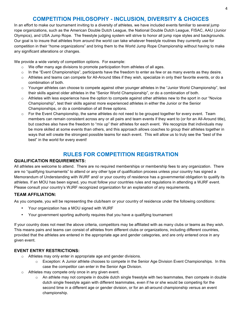## **COMPETITION PHILOSOPHY - INCLUSION, DIVERSITY & CHOICES**

In an effort to make our tournament inviting to a diversity of athletes, we have included events familiar to several jump rope organizations, such as the American Double Dutch League, the National Double Dutch League, FISAC, AAU (Junior Olympics), and USA Jump Rope. The freestyle judging system will strive to honor all jump rope styles and backgrounds. Our goal is to insure that athletes from around the world can take whatever freestyle routines they currently use for competition in their "home organizations" and bring them to the World Jump Rope Championship without having to make any significant alterations or changes.

We provide a wide variety of competition options. For example:

- o We offer many age divisions to promote participation from athletes of all ages.
- $\circ$  In the "Event Championships", participants have the freedom to enter as few or as many events as they desire.
- $\circ$  Athletes and teams can compete for All-Around titles if they wish, specialize in only their favorite events, or do a combination of both.
- o Younger athletes can choose to compete against other younger athletes in the "Junior World Championship", test their skills against older athletes in the "Senior World Championship", or do a combination of both.
- $\circ$  Athletes with less experience have the option to compete against other athletes new to the sport in our "Novice" Championship", test their skills against more experienced athletes in either the Junior or the Senior Championships, or do a combination of all three options.
- $\circ$  For the Event Championship, the same athletes do not need to be grouped together for every event. Team members can remain consistent across any or all pairs and team events if they want to (or for an All-Around title), but coaches also have the freedom to "mix up" their athletes for each event. We recognize that individuals may be more skilled at some events than others, and this approach allows coaches to group their athletes together in ways that will create the strongest possible teams for each event. This will allow us to truly see the "best of the best" in the world for every event!

# **RULES FOR COMPETITION REGISTRATION**

#### **QUALIFICATION REQUIREMENTS:**

All athletes are welcome to attend. There are no required memberships or membership fees to any organization. There are no "qualifying tournaments" to attend or any other type of qualification process unless your country has signed a Memorandum of Understanding with WJRF and/ or your country of residence has a governmental obligation to qualify its athletes. If an MOU has been signed, you must follow your countries rules and regulations in attending a WJRF event. Please consult your country's WJRF recognized organization for an explanation of any requirements.

#### **TEAM AFFILIATION:**

As you compete, you will be representing the club/team or your country of residence under the following conditions:

- Your organization has a MOU signed with WJRF
- Your government sporting authority requires that you have a qualifying tournament

If your country does not meet the above criteria, competitors may be affiliated with as many clubs or teams as they wish. This means pairs and teams can consist of athletes from different clubs or organizations, including different countries, provided that the athletes are entered in the appropriate age and gender categories, and are only entered once in any given event.

#### **EVENT ENTRY RESTRICTIONS:**

- o Athletes may only enter in appropriate age and gender divisions.
	- $\circ$  Exception: A Junior athlete chooses to compete in the Senior Age Division Event Championships. In this case the competitor can enter in the Senior Age Division.
- o Athletes may compete only once in any given event.
	- $\circ$  An athlete may not compete in double dutch single freestyle with two teammates, then compete in double dutch single freestyle again with different teammates, even if he or she would be competing for the second time in a different age or gender division, or for an all-around championship versus an event championship.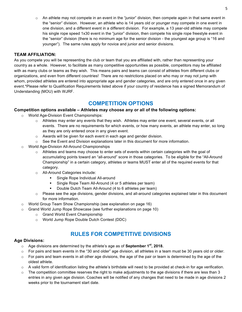$\circ$  An athlete may not compete in an event in the "junior" division, then compete again in that same event in the "senior" division. However, an athlete who is 14 years old or younger may compete in one event in one division, and a different event in a different division. For example, a 13 year-old athlete may compete his single rope speed 1x30 event in the "junior" division, then compete his single rope freestyle event in the "senior" division (there is no minimum age for the senior division - the youngest age group is "16 and younger"). The same rules apply for novice and junior and senior divisions.

#### **TEAM AFFILIATION:**

As you compete you will be representing the club or team that you are affiliated with, rather than representing your country as a whole. However, to facilitate as many competitive opportunities as possible, competitors may be affiliated with as many clubs or teams as they wish. This means pairs and teams can consist of athletes from different clubs or organizations, and even from different countries! There are no restrictions placed on who may or may not jump with whom, provided athletes are entered into appropriate age and gender categories, and are only entered once in any given event.\*Please refer to Qualification Requirements listed above if your country of residence has a signed Memorandum of Understanding (MOU) with WJRF.

## **COMPETITION OPTIONS**

#### **Competition options available – Athletes may choose any or all of the following options:**

- o World Age-Division Event Championships:
	- $\circ$  Athletes may enter any events that they wish. Athletes may enter one event, several events, or all events. There are no requirements for which events, or how many events, an athlete may enter, so long as they are only entered once in any given event.
	- o Awards will be given for each event in each age and gender division.
	- $\circ$  See the Event and Division explanations later in this document for more information.
- o World Age-Division All-Around Championships
	- $\circ$  Athletes and teams may choose to enter sets of events within certain categories with the goal of accumulating points toward an "all-around" score in those categories. To be eligible for the "All-Around Championship" in a certain category, athletes or teams MUST enter all of the required events for that category.
	- o All-Around Categories include:
		- § Single Rope Individual All-around
		- § Single Rope Team All-Around (4 or 5 athletes per team)
		- Double Dutch Team All-Around (4 to 6 athletes per team)
	- $\circ$  Please see the age divisions, gender divisions, and all-around categories explained later in this document for more information.
- o World Group Team Show Championship (see explanation on page 16)
- $\circ$  Grand World Jump Rope Showcase (see further explanations on page 10)
	- o Grand World Event Championship
	- o World Jump Rope Double Dutch Contest (DDC)

# **RULES FOR COMPETITIVE DIVISIONS**

#### **Age Divisions:**

- o Age divisions are determined by the athlete's age as of **September 1st, 2018.**
- $\circ$  For pairs and team events in the "30 and older" age division, all athletes in a team must be 30 years old or older.
- $\circ$  For pairs and team events in all other age divisions, the age of the pair or team is determined by the age of the oldest athlete.
- $\circ$  A valid form of identification listing the athlete's birthdate will need to be provided at check-in for age verification.
- $\circ$  The competition committee reserves the right to make adjustments to the age divisions if there are less than 3 entries in any given age division. Coaches will be notified of any changes that need to be made in age divisions 2 weeks prior to the tournament start date.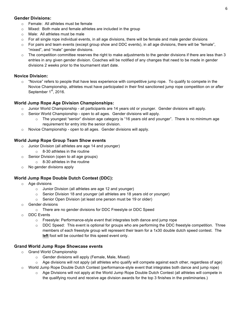#### **Gender Divisions:**

- o Female: All athletes must be female
- o Mixed: Both male and female athletes are included in the group
- o Male: All athletes must be male
- $\circ$  For all single rope individual events, in all age divisions, there will be female and male gender divisions
- $\circ$  For pairs and team events (except group show and DDC events), in all age divisions, there will be "female", "mixed", and "male" gender divisions.
- $\circ$  The competition committee reserves the right to make adjustments to the gender divisions if there are less than 3 entries in any given gender division. Coaches will be notified of any changes that need to be made in gender divisions 2 weeks prior to the tournament start date.

#### **Novice Division:**

 $\circ$  "Novice" refers to people that have less experience with competitive jump rope. To qualify to compete in the Novice Championship, athletes must have participated in their first sanctioned jump rope competition on or after September  $1<sup>st</sup>$ , 2016.

#### **World Jump Rope Age Division Championships:**

- $\circ$  Junior World Championship all participants are 14 years old or younger. Gender divisions will apply.
- $\circ$  Senior World Championship open to all ages. Gender divisions will apply.
	- $\circ$  The youngest "senior" division age category is "16 years old and younger". There is no minimum age requirement for entry into the senior division.
- o Novice Championship open to all ages. Gender divisions will apply.

#### **World Jump Rope Group Team Show events**

- o Junior Division (all athletes are age 14 and younger)
	- $\circ$  8-30 athletes in the routine
- Senior Division (open to all age groups)
	- $\circ$  8-30 athletes in the routine
- o No gender divisions apply

#### **World Jump Rope Double Dutch Contest (DDC):**

- o Age divisions
	- o Junior Division (all athletes are age 12 and younger)
	- o Senior Division 18 and younger (all athletes are 18 years old or younger)
	- o Senior Open Division (at least one person must be 19 or older)
- o Gender divisions
	- o There are no gender divisions for DDC Freestyle or DDC Speed
- DDC Events
	- $\circ$  Freestyle: Performance-style event that integrates both dance and jump rope
	- o DDC Speed:This event is optional for groups who are performing the DDC freestyle competition. Three members of each freestyle group will represent their team for a 1x30 double dutch speed contest. The **left** foot will be counted for this speed event only.

#### **Grand World Jump Rope Showcase events**

- o Grand World Championship
	- o Gender divisions will apply (Female, Male, Mixed)
	- $\circ$  Age divisions will not apply (all athletes who qualify will compete against each other, regardless of age)
- o World Jump Rope Double Dutch Contest (performance-style event that integrates both dance and jump rope)
	- $\circ$  Age Divisions will not apply at the World Jump Rope Double Dutch Contest (all athletes will compete in the qualifying round and receive age division awards for the top 3 finishes in the preliminaries.)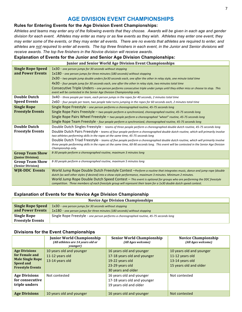# **AGE DIVISION EVENT CHAMPIONSHIPS**

#### **Rules for Entering Events for the Age Division Event Championships:**

*Athletes and teams may enter any of the following events that they choose. Awards will be given in each age and gender division for each event. Athletes may enter as many or as few events as they wish. Athletes may enter one event, they may enter some of the events, or they may enter all events. There are no events that athletes are required to enter, and athletes are not required to enter all events. The top three finishers in each event, in the Junior and Senior divisions will receive awards. The top five finishers in the Novice division will receive awards.*

#### **Explanation of Events for the Junior and Senior Age Division Championships:**

| <b>Junior and Senior World Age Division Event Championships</b> |                                                                                                                                                                                                                                            |  |  |
|-----------------------------------------------------------------|--------------------------------------------------------------------------------------------------------------------------------------------------------------------------------------------------------------------------------------------|--|--|
| <b>Single Rope Speed</b>                                        | $1x30$ - one person jumps for 30 seconds without stopping                                                                                                                                                                                  |  |  |
| and Power Events                                                | 1x180 - one person jumps for three minutes (180 seconds) without stopping                                                                                                                                                                  |  |  |
|                                                                 | 2x30 - two people jump double unders for30 seconds each, one after the other in relay style, one minute total time                                                                                                                         |  |  |
|                                                                 | 4x30 - four people jump for 30 seconds each, one after the other in relay style, two minutes total time                                                                                                                                    |  |  |
|                                                                 | Consecutive Triple Unders – one person performs consecutive triple under jumps until they either miss or choose to stop. This                                                                                                              |  |  |
|                                                                 | event will be contested in the Senior Age Division Championship only.                                                                                                                                                                      |  |  |
| <b>Double Dutch</b>                                             | 3x40 - three people per team, each person jumps in the ropes for 40 seconds, 2 minutes total time                                                                                                                                          |  |  |
| <b>Speed Events</b>                                             | 2x60 - four people per team, two people take turns jumping in the ropes for 60 seconds each, 2 minutes total time                                                                                                                          |  |  |
| <b>Single Rope</b>                                              | Single Rope Freestyle - one person performs a choreographed routine, 45-75 seconds long                                                                                                                                                    |  |  |
| <b>Freestyle Events</b>                                         | Single Rope Pairs Freestyle - two people perform a synchronized, choreographed routine, 45-75 seconds long                                                                                                                                 |  |  |
|                                                                 | Single Rope Pairs Wheel Freestyle – two people perform a choreographed "wheel" routine, 45-75 seconds long                                                                                                                                 |  |  |
|                                                                 | Single Rope Team Freestyle - four people perform a synchronized, choreographed routine, 45-75 seconds long                                                                                                                                 |  |  |
| <b>Double Dutch</b>                                             | Double Dutch Singles Freestyle - teams of three people perform a choreographed double dutch routine, 45-75 seconds long                                                                                                                    |  |  |
| <b>Freestyle Events</b>                                         | Double Dutch Pairs Freestyle - teams of four people perform a choreographed double dutch routine, which will primarily involve                                                                                                             |  |  |
|                                                                 | two athletes performing skills in the ropes at the same time, 45-75 seconds long                                                                                                                                                           |  |  |
|                                                                 | Double Dutch Triad Freestyle - teams of five people perform a choreographed double dutch routine, which will primarily involve                                                                                                             |  |  |
|                                                                 | three people performing skills in the ropes at the same time, 60-90 seconds long. This event will be contested in the Senior Age Division<br>Championship only.                                                                            |  |  |
| <b>Group Team Show</b>                                          | 8-30 people perform a choreographed routine, maximum 3 minutes long                                                                                                                                                                        |  |  |
| (Junior Division)                                               |                                                                                                                                                                                                                                            |  |  |
| <b>Group Team Show</b>                                          | 8-30 people perform a choreographed routine, maximum 5 minutes long                                                                                                                                                                        |  |  |
| (Senior Division)                                               |                                                                                                                                                                                                                                            |  |  |
| <b>WJR-DDC Events</b>                                           | World Jump Rope Double Dutch Freestyle Contest – Perform a routine that integrates music, dance and jump rope (double                                                                                                                      |  |  |
|                                                                 | dutch (as well other styles if desired) into a show-style performance, maximum 3 minutes. Minimum 2 minutes.                                                                                                                               |  |  |
|                                                                 | World Jump Rope Double Dutch Speed Contest - This event is optional for groups who are performing the DDC freestyle<br>competition. Three members of each freestyle group will represent their team for a 1x30 double dutch speed contest. |  |  |

#### **Explanation of Events for the Novice Age Division Championship**

| <b>Novice Age Division Championships</b>     |                                                                                                                                      |  |  |
|----------------------------------------------|--------------------------------------------------------------------------------------------------------------------------------------|--|--|
| <b>Single Rope Speed</b><br>and Power Events | 1x30 - one person jumps for 30 seconds without stopping<br>1x180 - one person jumps for three minutes (180 seconds) without stopping |  |  |
| Single Rope<br><b>Freestyle Events</b>       | Single Rope Freestyle - one person performs a choreographed routine, 45-75 seconds long                                              |  |  |

#### **Divisions for the Event Championships**

|                                                                                                                  | <b>Junior World Championship</b><br>(All athletes are 14 years old or<br>younger) | <b>Senior World Championship</b><br>(All Ages welcome)                                                              | <b>Novice Championship</b><br>(All Ages welcome)                                         |
|------------------------------------------------------------------------------------------------------------------|-----------------------------------------------------------------------------------|---------------------------------------------------------------------------------------------------------------------|------------------------------------------------------------------------------------------|
| <b>Age Divisions</b><br>for Female and<br><b>Male Single Rope</b><br><b>Speed and</b><br><b>Freestyle Events</b> | 10 years old and younger<br>11-12 years old<br>13-14 years old                    | 16 years old and younger<br>17-18 years old and younger<br>19-22 years old<br>23-29 years old<br>30 years and older | 10 years old and younger<br>11-12 years old<br>13-14 years old<br>15 years old and older |
| <b>Age Divisions</b><br>for consecutive<br>triple unders                                                         | Not contested                                                                     | 16 years old and younger<br>17-18 years old and younger<br>19 years old and older                                   | Not contested                                                                            |
| <b>Age Divisions</b>                                                                                             | 10 years old and younger                                                          | 16 years old and younger                                                                                            | Not contested                                                                            |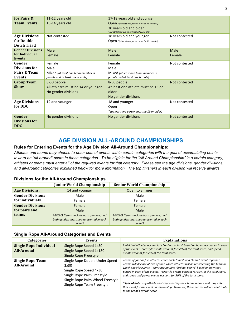| 11-12 years old                    | 17-18 years old and younger                                             |                                                                                          |
|------------------------------------|-------------------------------------------------------------------------|------------------------------------------------------------------------------------------|
| 13-14 years old                    | Open *(at least one person must be 19 or older)                         |                                                                                          |
|                                    | 30 years old and older<br>*(all athletes must be at least 30 years old) |                                                                                          |
| Not contested                      | 18 years old and younger                                                | Not contested                                                                            |
|                                    | Open *(at least one person must be 19 or older)                         |                                                                                          |
|                                    |                                                                         |                                                                                          |
| Male                               | Male                                                                    | Male                                                                                     |
| Female                             | Female                                                                  | Female                                                                                   |
|                                    |                                                                         |                                                                                          |
|                                    |                                                                         | Not contested                                                                            |
|                                    |                                                                         |                                                                                          |
| Mixed (at least one team member is | Mixed (at least one team member is                                      |                                                                                          |
|                                    |                                                                         |                                                                                          |
| 8-30 people                        | 8-30 people                                                             | Not contested                                                                            |
| All athletes must be 14 or younger |                                                                         |                                                                                          |
| No gender divisions                | older                                                                   |                                                                                          |
|                                    | No gender divisions                                                     |                                                                                          |
| 12 and younger                     | 18 and younger                                                          | Not contested                                                                            |
|                                    | Open                                                                    |                                                                                          |
|                                    | * (at least one person must be 19 or older)                             |                                                                                          |
| No gender divisions                | No gender divisions                                                     | Not contested                                                                            |
|                                    |                                                                         |                                                                                          |
|                                    |                                                                         |                                                                                          |
|                                    | Female<br>Male<br>female and at least one is male)                      | Female<br>Male<br>female and at least one is male)<br>At least one athlete must be 15 or |

# **AGE DIVISION ALL-AROUND CHAMPIONSHIPS**

#### **Rules for Entering Events for the Age Division All-Around Championships:**

*Athletes and teams may choose to enter sets of events within certain categories with the goal of accumulating points toward an "all-around" score in those categories. To be eligible for the "All-Around Championship" in a certain category, athletes or teams must enter all of the required events for that category. Please see the age divisions, gender divisions, and all-around categories explained below for more information. The top finishers in each division will receive awards.*

#### **Divisions for the All-Around Championships**

|                                                 | <b>Junior World Championship</b>         | <b>Senior World Championship</b>         |  |
|-------------------------------------------------|------------------------------------------|------------------------------------------|--|
| <b>Age Divisions:</b>                           | 14 and younger                           | Open to all ages                         |  |
| <b>Gender Divisions</b>                         | Male                                     | Male                                     |  |
| for individuals                                 | Female                                   | Female                                   |  |
| <b>Gender Divisions</b><br>Female               |                                          | Female                                   |  |
| for pairs and                                   | Male                                     | Male                                     |  |
| teams<br>Mixed (teams include both genders, and |                                          | Mixed (teams include both genders, and   |  |
|                                                 | both genders must be represented in each | both genders must be represented in each |  |
|                                                 | event)                                   | event)                                   |  |

#### **Single Rope All-Around Categories and Events**

| <b>Categories</b>                           | Events                                                                                                                                                             | <b>Explanations</b>                                                                                                                                                                                                                                                                                                                                                                                                                                                                                                                                                                                           |
|---------------------------------------------|--------------------------------------------------------------------------------------------------------------------------------------------------------------------|---------------------------------------------------------------------------------------------------------------------------------------------------------------------------------------------------------------------------------------------------------------------------------------------------------------------------------------------------------------------------------------------------------------------------------------------------------------------------------------------------------------------------------------------------------------------------------------------------------------|
| <b>Single Rope Individual</b><br>All-Around | Single Rope Speed 1x30<br>Single Rope Speed 1x180<br>Single Rope Freestyle                                                                                         | Individual athletes accumulate "ordinal points" based on how they placed in each<br>of the events. Freestyle events account for 50% of the total score, and speed<br>events account for 50% of the total score.                                                                                                                                                                                                                                                                                                                                                                                               |
| <b>Single Rope Team</b><br>All-Around       | Single Rope Double Under Speed<br>2x30<br>Single Rope Speed 4x30<br>Single Rope Pairs Freestyle<br>Single Rope Pairs Wheel Freestyle<br>Single Rope Team Freestyle | Teams of four or five athletes enter each "pairs" and "team" event together.<br>Teams will declare ahead of time which athletes will be representing the team in<br>which specific events. Teams accumulate "ordinal points" based on how they<br>placed in each of the events. Freestyle events account for 50% of the total score,<br>and speed and power events account for 50% of the total score.<br>*Special note: any athletes not representing their team in any event may enter<br>that event for the event championship. However, these entries will not contribute<br>to the team's overall score. |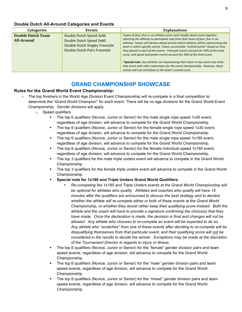#### **Double Dutch All-Around Categories and Events**

| <b>Categories</b>                      | Events                                                                                                               | <b>Explanations</b>                                                                                                                                                                                                                                                                                                                                                                                                                                                                                                                                                                                                                                                                                                            |
|----------------------------------------|----------------------------------------------------------------------------------------------------------------------|--------------------------------------------------------------------------------------------------------------------------------------------------------------------------------------------------------------------------------------------------------------------------------------------------------------------------------------------------------------------------------------------------------------------------------------------------------------------------------------------------------------------------------------------------------------------------------------------------------------------------------------------------------------------------------------------------------------------------------|
| <b>Double Dutch Team</b><br>All-Around | Double Dutch Speed 3x40<br>Double Dutch Speed 2x60<br>Double Dutch Singles Freestyle<br>Double Dutch Pairs Freestyle | Teams of four, five or six athletes enter each double dutch event together,<br>selecting the athletes to participate only from their team of four, five or six<br>athletes. Teams will declare ahead of time which athletes will be representing the<br>team in which specific events. Teams accumulate "ordinal points" based on how<br>they placed in each of the events. Freestyle events account for 50% of the total<br>score, and speed and power events account for 50% of the total score.<br>*Special note: any athletes not representing their team in any event may enter<br>that event with other teammates for the event championship. However, these<br>entries will not contribute to the team's overall score. |

### **GRAND CHAMPIONSHIP SHOWCASE**

#### **Rules for the Grand World Event Championship:**

- $\circ$  The top finishers in the World Age Division Event Championship will re-compete in a final competition to determine the "Grand World Champion" for each event. There will be no age divisions for the Grand World Event Championship. Gender divisions will apply.
	- o Speed qualifiers
		- The top 6 qualifiers (Novice, Junior or Senior) for the male single rope speed 1x30 event, regardless of age division, will advance to compete for the Grand World Championship.
		- The top 6 qualifiers (Novice, Junior or Senior) for the female single rope speed 1x30 event, regardless of age division, will advance to compete for the Grand World Championship.
		- The top 6 qualifiers (Novice, Junior or Senior) for the male single rope speed 1x180 event, regardless of age division, will advance to compete for the Grand World Championship.
		- The top 6 qualifiers (Novice, Junior or Senior) for the female individual speed 1x180 event, regardless of age division, will advance to compete for the Grand World Championship.
		- § The top 3 qualifiers for the male triple unders event will advance to compete in the Grand World Championship.
		- The top 3 qualifiers for the female triple unders event will advance to compete in the Grand World Championship.
		- § **Special note for 1x180 and Triple Unders Grand World Qualifiers:**
			- *Re-competing the 1x180 and Triple Unders events at the Grand World Championship will be optional for athletes who qualify. Athletes and coaches who qualify will have 15 minutes after the qualifiers are announced to discuss the best strategy and to declare whether the athlete will re-compete either or both of these events at the Grand World Championship, or whether they would rather keep their qualifying score instead. Both the athlete and the coach will have to provide a signature confirming the choice(s) that they have made. Once the declaration is made, the decision is final and changes will not be allowed. Any athlete who chooses to re-compete an event will be expected to do so. Any athlete who "scratches" from one of these events after deciding to re-compete will be disqualifying themselves from that particular event, and their qualifying score will not be considered in the results to decide the winner. Exceptions may be made at the discretion of the Tournament Director in regards to injury or illness.*
		- The top 6 qualifiers (Novice, Junior or Senior) for the "female" gender division pairs and team speed events, regardless of age division, will advance to compete for the Grand World Championship.
		- The top 6 qualifiers (Novice, Junior or Senior) for the "male" gender division pairs and team speed events, regardless of age division, will advance to compete for the Grand World Championship.
		- The top 6 qualifiers (Novice, Junior or Senior) for the "mixed" gender division pairs and team speed events, regardless of age division, will advance to compete for the Grand World Championship.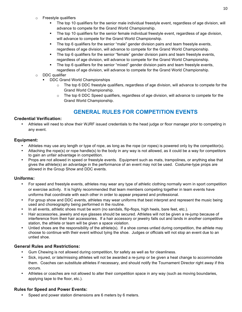- o Freestyle qualifiers
	- The top 10 qualifiers for the senior male individual freestyle event, regardless of age division, will advance to compete for the Grand World Championship.
	- The top 10 qualifiers for the senior female individual freestyle event, regardless of age division, will advance to compete for the Grand World Championship.
	- The top 6 qualifiers for the senior "male" gender division pairs and team freestyle events, regardless of age division, will advance to compete for the Grand World Championship.
	- The top 6 qualifiers for the senior "female" gender division pairs and team freestyle events, regardless of age division, will advance to compete for the Grand World Championship.
	- The top 6 qualifiers for the senior "mixed" gender division pairs and team freestyle events, regardless of age division, will advance to compete for the Grand World Championship.
- o DDC qualifier
	- DDC Grand World Championships
		- $\circ$  The top 6 DDC freestyle qualifiers, regardless of age division, will advance to compete for the Grand World Championship.
		- $\circ$  The top 6 DDC Speed qualifiers, regardless of age division, will advance to compete for the Grand World Championship.

# **GENERAL RULES FOR COMPETITION EVENTS**

#### **Credential Verification:**

• Athletes will need to show their WJRF issued credentials to the head judge or floor manager prior to competing in any event.

#### **Equipment:**

- Athletes may use any length or type of rope, as long as the rope (or ropes) is powered only by the competitor(s).
- Attaching the rope(s) or rope handle(s) to the body in any way is not allowed, as it could be a way for competitors to gain an unfair advantage in competition.
- Props are not allowed in speed or freestyle events. Equipment such as mats, trampolines, or anything else that gives the athlete(s) an advantage in the performance of an event may not be used. Costume-type props are allowed in the Group Show and DDC events.

#### **Uniforms:**

- For speed and freestyle events, athletes may wear any type of athletic clothing normally worn in sport competition or exercise activity. It is highly recommended that team members competing together in team events have uniforms that coordinate with each other in order to appear prepared and professional.
- For group show and DDC events, athletes may wear uniforms that best interpret and represent the music being used and choreography being performed in the routine.
- In all events, athletic shoes must be worn (no sandals, flip-flops, high heels, bare feet, etc.).
- Hair accessories, jewelry and eye glasses should be secured. Athletes will not be given a re-jump because of interference from their hair accessories. If a hair accessory or jewelry falls out and lands in another competitive station, the athlete or team will be given a space violation.
- Untied shoes are the responsibility of the athlete(s). If a shoe comes untied during competition, the athlete may choose to continue with their event without tying the shoe. Judges or officials will not stop an event due to an untied shoe.

#### **General Rules and Restrictions:**

- Gum Chewing is not allowed during competition, for safety as well as for cleanliness.
- Sick, injured, or late/missing athletes will not be awarded a re-jump or be given a heat change to accommodate them. Coaches can substitute athletes if necessary, and should notify the Tournament Director right away if this occurs.
- Athletes or coaches are not allowed to alter their competition space in any way (such as moving boundaries, applying tape to the floor, etc.).

#### **Rules for Speed and Power Events:**

Speed and power station dimensions are 6 meters by 6 meters.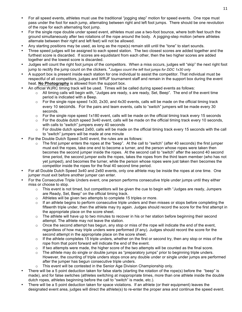- For all speed events, athletes must use the traditional "jogging step" motion for speed events. One rope must pass under the foot for each jump, alternating between right and left foot jumps. There should be one revolution of the rope for each alternating foot jump.
- For the single rope double under speed event, athletes must use a two-foot bounce, where both feet touch the ground simultaneously after two rotations of the rope around the body. A jogging-step motion (where athletes alternate between their right and left feet) will not be allowed.
- Any starting positions may be used, as long as the rope(s) remain still until the "tone" to start sounds.
- Three speed judges will be assigned to each speed station. The two closest scores are added together and the furthest score is discarded. If scores are equidistant from each other, then the two higher scores are added together and the lowest score is discarded.
- Judges will count the right foot jumps of the competitors. When a miss occurs, judges will "skip" the next right foot jump to rectify the jump count on the clickers. \**Judges count the left foot jumps for DDC 1x30 only*
- A support box is present inside each station for one individual to assist the competitor. That individual must be respectful of all competitors, judges and WRJF tournament staff and remain in the support box during the event heat. **No Photography** is allowed from the support box.
- An official WJRC timing track will be used. Times will be called during speed events as follows:
	- $\circ$  All timing calls will begin with, "Judges are ready, s are ready, Set, Beep". The end of the event time period is indicated with a Beep.
	- $\circ$  For the single rope speed 1x30, 2x30, and 4x30 events, calls will be made on the official timing track every 10 seconds. For the pairs and team events, calls to "switch" jumpers will be made every 30 seconds.
	- $\circ$  For the single rope speed 1x180 event, calls will be made on the official timing track every 15 seconds
	- $\circ$  For the double dutch speed 3x40 event, calls will be made on the official timing track every 10 seconds, with calls to "switch" jumpers every 40 seconds
	- $\circ$  For double dutch speed 2x60, calls will be made on the official timing track every 15 seconds with the call to "switch" jumpers will be made at one minute
- For the Double Dutch Speed 3x40 event, the rules are as follows:
	- o The first jumper enters the ropes at the "beep". At the call to "switch" (after 40 seconds) the first jumper must exit the ropes, take one end to become a turner, and the person whose ropes were taken then becomes the second jumper inside the ropes. At the second call to "switch" after the second 40 second time period, the second jumper exits the ropes, takes the ropes from the third team member (who has not yet jumped), and becomes the turner, while the person whose ropes were just taken then becomes the competitor inside the ropes for the final 40 second time period.
- For all Double Dutch Speed 3x40 and 2x60 events, only one athlete may be inside the ropes at one time. One jumper must exit before another jumper can enter.
- For the Consecutive Triple Unders event, one person performs consecutive triple under jumps until they either miss or choose to stop.
	- $\circ$  This event is not timed, but competitors will be given the cue to begin with "Judges are ready, Jumpers are Ready, Set, Beep" on the official timing track.
	- o Athletes will be given two attempts to complete 15 triples or more.
	- $\circ$  If an athlete begins to perform consecutive triple unders and then misses or stops before completing the fifteenth triple under, then the athlete may try again. Judges should record the score for the first attempt in the appropriate place on the score sheet.
	- $\circ$  The athlete will have up to two minutes to recover in his or her station before beginning their second attempt. The athlete may not leave the station.
	- $\circ$  Once the second attempt has begun, any stop or miss of the rope will indicate the end of the event, regardless of how may triple unders were performed (if any). Judges should record the score for the second attempt in the appropriate place on the score sheet.
	- $\circ$  If the athlete completes 15 triple unders, whether on the first or second try, then any stop or miss of the rope from that point forward will indicate the end of the event.
	- $\circ$  If two attempts were made, the higher score of the two attempts will be counted as the final score.
	- $\circ$  The athlete may do single or double jumps as "preparatory jumps" prior to beginning triple unders. However, the counting of triple unders stops once any double under or single under jumps are performed after the jumper has begun consecutive triple unders.
	- This event will be contested in the Senior Age Division Championship only.
- There will be a 5 point deduction taken for false starts (starting the rotation of the rope(s) before the "beep" is made), and for false switches (athletes switching at inappropriate times, more than one athlete inside the double dutch ropes, athletes beginning before the call to "switch" is made, etc.).
- There will be a 5 point deduction taken for space violations. If an athlete (or their equipment) leaves the designated event area, judges will direct the athlete(s) to re-enter the proper area and continue the speed event.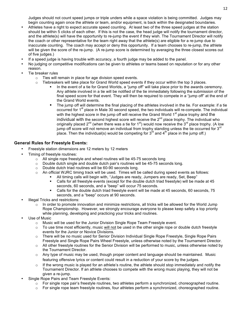Judges should not count speed jumps or triple unders while a space violation is being committed. Judges may begin counting again once the athlete or team, and/or equipment, is back within the designated boundaries.

- Athletes have a right to expect accurate speed counting. At least two of the three speed judges at the station should be within 5 clicks of each other. If this is not the case, the head judge will notify the tournament director, and the athlete(s) will have the opportunity to re-jump the event if they wish. The Tournament Director will notify the coach or other representative for the team right away that the athlete(s) are eligible for a re-jump due to inaccurate counting. The coach may accept or deny this opportunity. If a team chooses to re-jump, the athlete will be given the score of the re-jump. (A re-jump score is determined by averaging the three closest scores out of five judges.)
- If a speed judge is having trouble with accuracy, a fourth judge may be added to the panel.
- No judging or competitive modifications can be given to athletes or teams based on reputation or for any other reason.
- Tie breaker rules
	- o Ties will remain in place for age division speed events.
	- $\circ$  Tiebreakers will take place for Grand World speed events if they occur within the top 3 places.
		- In the event of a tie for Grand Worlds, a "jump off" will take place prior to the awards ceremony. Any athlete involved in a tie will be notified of the tie immediately following the submission of the final speed score for that event. They will then be required to compete in a "jump off" at the end of the Grand World events.
		- § The jump off will determine the final placing of the athletes involved in the tie. For example: if a tie occurred for 1<sup>st</sup> place in Male 30 second speed, the two individuals will re-compete. The individual with the highest score in the jump off will receive the Grand World 1<sup>st</sup> place trophy and the individual with the second highest score will receive the 2<sup>nd</sup> place trophy. The individual who originally placed  $2^{nd}$  (when there was a tie for 1<sup>st</sup>) would now receive the  $3^{rd}$  place trophy. (A low jump off score will not remove an individual from trophy standing unless the tie occurred for 3<sup>rd</sup> place. Then the individual(s) would be competing for  $3^{rd}$  and  $4^{th}$  place in the jump off.)

#### **General Rules for Freestyle Events:**

- Freestyle station dimensions are 12 meters by 12 meters
- Timing of freestyle routines:
	- o All single rope freestyle and wheel routines will be 45-75 seconds long
	- $\circ$  Double dutch single and double dutch pair's routines will be 45-75 seconds long.
	- o Double dutch triad routines will be 60-90 seconds long.
	- $\circ$  An official WJRC timing track will be used. Times will be called during speed events as follows:
		- All timing calls will begin with, "Judges are ready, Jumpers are ready, Set, Beep"
			- Calls for all freestyle events (except for the double dutch triad freestyle) will be made at 45 seconds, 60 seconds, and a "beep" will occur 75 seconds.
			- Calls for the double dutch triad freestyle event will be made at 45 seconds, 60 seconds, 75 seconds, and a "beep" occurs at 90 seconds.
- Illegal Tricks and restrictions:
	- $\circ$  In order to promote innovation and minimize restrictions, all tricks will be allowed for the World Jump Rope Championship. However, we strongly encourage everyone to please keep safety a top priority while planning, developing and practicing your tricks and routines.
- Use of Music
	- o Music will be used for the Junior Division Single Rope Team Freestyle event.
	- o To use time most efficiently, music will not be used in the other single rope or double dutch freestyle events for the Junior or Novice Divisions.
	- $\circ$  There will be no music used for Senior Division Individual Single Rope Freestyle, Single Rope Pairs Freestyle and Single Rope Pairs Wheel Freestyle, unless otherwise noted by the Tournament Director.
	- $\circ$  All other freestyle routines for the Senior Division will be performed to music, unless otherwise noted by the Tournament Director.
	- $\circ$  Any type of music may be used, though proper content and language should be maintained. Music featuring offensive lyrics or content could result in a reduction of your score by the judges.
	- $\circ$  If the wrong music is played for an athlete's routine, the athlete should stop immediately and notify the Tournament Director. If an athlete chooses to compete with the wrong music playing, they will not be given a re-jump.
- Single Rope Pairs and Team Freestyle Events:
	- $\circ$  For single rope pair's freestyle routines, two athletes perform a synchronized, choreographed routine.
	- $\circ$  For single rope team freestyle routines, four athletes perform a synchronized, choreographed routine.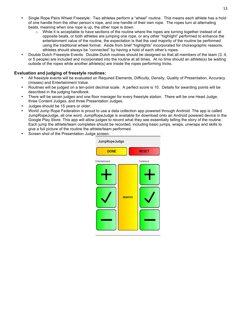- Single Rope Pairs Wheel Freestyle: Two athletes perform a "wheel" routine. This means each athlete has a hold of one handle from the other person's rope, and one handle of their own rope. The ropes turn at alternating beats, meaning when one rope is up, the other rope is down.
	- $\circ$  While it is acceptable to have sections of the routine where the ropes are turning together instead of at opposite beats, or both athletes are jumping one rope, or any other "highlight" performed to enhance the entertainment value of the routine, the expectation is that the vast majority of the routine be performed using the traditional wheel format. Aside from brief "highlights" incorporated for choreographic reasons, athletes should always be "connected" by having a hold of each other's ropes.
- Double Dutch Freestyle Events: Double Dutch routines should be designed so that all members of the team (3, 4, or 5 people) are included and incorporated into the routine at all times. At no time should an athlete(s) be waiting outside of the ropes while another athlete(s) are inside the ropes performing tricks.

#### **Evaluation and judging of freestyle routines:**

- All freestyle events will be evaluated on Required Elements, Difficulty, Density, Quality of Presentation, Accuracy (misses) and Entertainment Value.
- Routines will be judged on a ten-point decimal scale. A perfect score is 10. Details for awarding points will be described in the judging handbook.
- There will be seven judges and one floor manager for every freestyle station. There will be one Head Judge, three Content Judges, and three Presentation Judges.
- Judges should be 15 years or older.
- World Jump Rope Federation is proud to use a data collection app powered through Android. The app is called JumpRopeJudge, all one word. JumpRopeJudge is available for download onto an Android powered device in the Google Play Store. This app will allow judges to record what they see essentially telling the story of the routine. Each jump the athlete/team completes should be recorded, including basic jumps, wraps, unwraps and skills to give a full picture of the routine the athlete/team performed.
- Screen shot of the Presentation Judge screen:

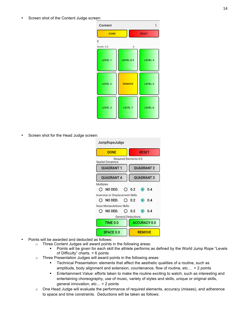Screen shot of the Content Judge screen:

| Content         |                |                |
|-----------------|----------------|----------------|
| <b>DONE</b>     |                | <b>RESET</b>   |
| 0<br>Score: 0.0 | 0              |                |
| <b>LEVEL 1</b>  | LEVEL 0.5      | <b>LEVEL 4</b> |
| <b>LEVEL 2</b>  | <b>REMOVE</b>  | LEVEL 5        |
| <b>LEVEL 3</b>  | <b>LEVEL 7</b> | LEVEL 6        |

Screen shot for the Head Judge screen:

| JumpRopeJudge                           |              |                              |  |                     |
|-----------------------------------------|--------------|------------------------------|--|---------------------|
| <b>DONE</b>                             | <b>RESET</b> |                              |  |                     |
| <b>Spatial Dynamics</b>                 |              | <b>Required Elements 0.0</b> |  |                     |
| QUADRANT 1                              |              |                              |  | <b>QUADRANT 2</b>   |
| <b>QUADRANT 4</b><br><b>QUADRANT 3</b>  |              |                              |  |                     |
| <b>Multiples</b>                        |              |                              |  |                     |
| NO DED. $\bigcirc$ 0.2                  |              |                              |  | $\odot$ 0.4         |
| <b>Inversion or Displacement Skills</b> |              |                              |  |                     |
| $\bigcirc$ no ded.                      |              | () 0.2                       |  | $\odot$ 0.4         |
| Rope Manipulations Skills               |              |                              |  |                     |
| $NO$ DED. $O$ 0.2<br>0                  |              |                              |  | $\odot$ 0.4         |
| <b>General Deductions</b>               |              |                              |  |                     |
| TIME 0.0                                |              |                              |  | <b>ACCURACY 0.0</b> |
| <b>SPACE 0.0</b>                        |              | <b>REMOVE</b>                |  |                     |

- Points will be awarded and deducted as follows:
	- o Three Content Judges will award points in the following areas:
		- § Points will be given for each skill the athlete performs as defined by the World Jump Rope "Levels of Difficulty" charts. = 6 points
	- o Three Presentation Judges will award points in the following areas:
		- **•** Technical Presentation: elements that affect the aesthetic qualities of a routine, such as amplitude, body alignment and extension, countenance, flow of routine, etc… = 2 points
		- **■** Entertainment Value: efforts taken to make the routine exciting to watch, such as interesting and entertaining choreography, use of music, variety of styles and skills, unique or original skills, general innovation, etc… = 2 points
	- o One Head Judge will evaluate the performance of required elements, accuracy (misses), and adherence to space and time constraints. Deductions will be taken as follows: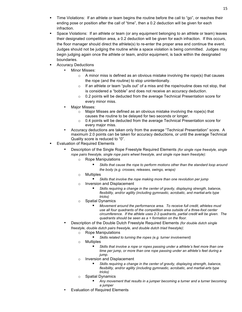- Time Violations: If an athlete or team begins the routine before the call to "go", or reaches their ending pose or position after the call of "time", then a 0.2 deduction will be given for each infraction.
- § Space Violations: If an athlete or team (or any equipment belonging to an athlete or team) leaves their designated competition area, a 0.2 deduction will be given for each infraction. If this occurs, the floor manager should direct the athlete(s) to re-enter the proper area and continue the event. Judges should not be judging the routine while a space violation is being committed. Judges may begin judging again once the athlete or team, and/or equipment, is back within the designated boundaries.
- § Accuracy Deductions
	- Minor Misses:
		- $\circ$  A minor miss is defined as an obvious mistake involving the rope(s) that causes the rope (and the routine) to stop unintentionally.
		- $\circ$  If an athlete or team "pulls out" of a miss and the rope/routine does not stop, that is considered a "bobble" and does not receive an accuracy deduction.
		- $\circ$  0.2 points will be deducted from the average Technical Presentation score for every minor miss.
	- Major Misses:
		- o Major Misses are defined as an obvious mistake involving the rope(s) that causes the routine to be delayed for two seconds or longer.
		- $\circ$  0.4 points will be deducted from the average Technical Presentation score for every major miss.
	- Accuracy deductions are taken only from the average "Technical Presentation" score. A maximum 2.0 points can be taken for accuracy deductions, or until the average Technical Quality score is reduced to "0".
- **Evaluation of Required Elements** 
	- Description of the Single Rope Freestyle Required Elements *(for single rope freestyle, single rope pairs freestyle, single rope pairs wheel freestyle, and single rope team freestyle):*
		- o Rope Manipulations
			- § *Skills that cause the rope to perform motions other than the standard loop around the body (e.g. crosses, releases, swings, wraps)*
		- o Multiples
			- § *Skills that involve the rope making more than one revolution per jump*
		- o Inversion and Displacement
			- § *Skills requiring a change in the center of gravity, displaying strength, balance, flexibility, and/or agility (including gymnastic, acrobatic, and martial-arts type tricks)*
		- o Spatial Dynamics
			- § *Movement around the performance area. To receive full credit, athletes must use all four quadrants of the competition area outside of a three-foot center circumference. If the athlete uses 2-3 quadrants, partial credit will be given. The quadrants should be seen as a + formation on the floor.*
	- Description of the Double Dutch Freestyle Required Elements *(for double dutch single freestyle, double dutch pairs freestyle, and double dutch triad freestyle)*:
		- o Rope Manipulations
			- § *Skills related to turning the ropes (e.g. turner involvement)*
		- o Multiples
			- Skills that involve a rope or ropes passing under a athlete's feet more than one *time per jump, or more than one rope passing under an athlete's feet during a jump.*
		- o Inversion and Displacement
			- § *Skills requiring a change in the center of gravity, displaying strength, balance, flexibility, and/or agility (including gymnastic, acrobatic, and martial-arts type tricks)*
		- o Spatial Dynamics
			- § *Any movement that results in a jumper becoming a turner and a turner becoming a jumper*
	- Evaluation of Required Elements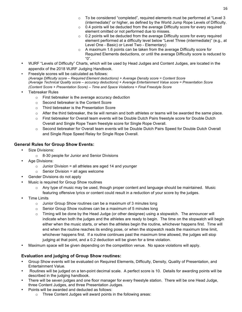- $\circ$  To be considered "completed", required elements must be performed at "Level 3 (intermediate)" or higher, as defined by the World Jump Rope Levels of Difficulty.
- $\circ$  0.4 points will be deducted from the average Difficulty score for every required element omitted or not performed due to misses.
- $\circ$  0.2 points will be deducted from the average Difficulty score for every required element performed at a difficulty level below "Level Three (intermediate)" (e.g., at Level One - Basic) or Level Two - Elementary)
- o A maximum 1.6 points can be taken from the average Difficulty score for Required Elements deductions, or until the average Difficulty score is reduced to "0".
- WJRF "Levels of Difficulty" Charts, which will be used by Head Judges and Content Judges, are located in the appendix of the 2018 WJRF Judging Handbook.
- Freestyle scores will be calculated as follows: *(Average Difficulty score – Required Element deductions) + Average Density score = Content Score (Average Technical Quality score – accuracy deductions) + Average Entertainment Value score = Presentation Score (Content Score + Presentation Score) – Time and Space Violations = Final Freestyle Score*
- Tiebreaker Rules
	- o First tiebreaker is the average accuracy deduction
	- o Second tiebreaker is the Content Score
	- o Third tiebreaker is the Presentation Score
	- $\circ$  After the third tiebreaker, the tie will remain and both athletes or teams will be awarded the same place.
	- o First tiebreaker for Overall team events will be Double Dutch Pairs freestyle score for Double Dutch Overall and Single Rope Team freestyle score for Single Rope Overall.
	- $\circ$  Second tiebreaker for Overall team events will be Double Dutch Pairs Speed for Double Dutch Overall and Single Rope Speed Relay for Single Rope Overall.

#### **General Rules for Group Show Events:**

- Size Divisions:
	- o 8-30 people for Junior and Senior Divisions
- Age Divisions:
	- $\circ$  Junior Division = all athletes are aged 14 and younger
	- $\circ$  Senior Division = all ages welcome
- Gender Divisions do not apply
- Music is required for Group Show routines
	- $\circ$  Any type of music may be used, though proper content and language should be maintained. Music featuring offensive lyrics or content could result in a reduction of your score by the judges.
- Time Limits
	- o Junior Group Show routines can be a maximum of 3 minutes long
	- o Senior Group Show routines can be a maximum of 5 minutes long
	- $\circ$  Timing will be done by the Head Judge (or other designee) using a stopwatch. The announcer will indicate when both the judges and the athletes are ready to begin. The time on the stopwatch will begin either when the music starts, or when the athletes begin the routine, whichever happens first. Time will end when the routine reaches its ending pose, or when the stopwatch reads the maximum time limit, whichever happens first. If a routine continues past the maximum time allowed, the judges will stop judging at that point, and a 0.2 deduction will be given for a time violation.
- Maximum space will be given depending on the competition venue. No space violations will apply.

#### **Evaluation and judging of Group Show routines:**

- Group Show events will be evaluated on Required Elements, Difficulty, Density, Quality of Presentation, and Entertainment Value.
- Routines will be judged on a ten-point decimal scale. A perfect score is 10. Details for awarding points will be described in the judging handbook.
- There will be seven judges and one floor manager for every freestyle station. There will be one Head Judge, three Content Judges, and three Presentation Judges.
- Points will be awarded and deducted as follows:
	- o Three Content Judges will award points in the following areas: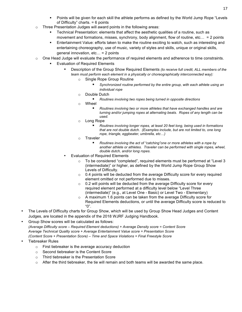- Points will be given for each skill the athlete performs as defined by the World Jump Rope "Levels" of Difficulty" charts. = 6 points
- o Three Presentation Judges will award points in the following areas:
	- § Technical Presentation: elements that affect the aesthetic qualities of a routine, such as movement and formations, misses, synchrony, body alignment, flow of routine, etc… = 2 points
	- § Entertainment Value: efforts taken to make the routine exciting to watch, such as interesting and entertaining choreography, use of music, variety of styles and skills, unique or original skills, general innovation, etc… = 2 points
- o One Head Judge will evaluate the performance of required elements and adherence to time constraints.
	- § Evaluation of Required Elements
		- Description of the Group Show Required Elements *(to receive full credit, ALL members of the team must perform each element in a physically or choreographically interconnected way):*
			- o Single Rope Group Routine
				- § *Synchronized routine performed by the entire group, with each athlete using an individual rope*
			- o Double Dutch
				- Routines involving two ropes being turned in opposite directions
			- o Wheel
				- § *Routines involving two or more athletes that have exchanged handles and are turning and/or jumping ropes at alternating beats. Ropes of any length can be used.*
			- o Long Rope
				- § *Routines involving longer ropes, at least 20 feet long, being used in formations that are not double dutch. (Examples include, but are not limited to, one long rope, triangle, eggbeater, umbrella, etc…)*
			- o Traveler
				- § *Routines involving the act of "catching"one or more athletes with a rope by another athlete or athletes. Traveler can be performed with single ropes, wheel, double dutch, and/or long ropes.*
		- Evaluation of Required Elements
			- To be considered "completed", required elements must be performed at "Level 3 (intermediate)" or higher, as defined by the World Jump Rope Group Show Levels of Difficulty.
			- $\circ$  0.4 points will be deducted from the average Difficulty score for every required element omitted or not performed due to misses.
			- o 0.2 will points will be deducted from the average Difficulty score for every required element performed at a difficulty level below "Level Three (intermediate)" (e.g., at Level One - Basic) or Level Two - Elementary)
			- o A maximum 1.6 points can be taken from the average Difficulty score for Required Elements deductions, or until the average Difficulty score is reduced to "0".
- The Levels of Difficulty charts for Group Show, which will be used by Group Show Head Judges and Content Judges, are located in the appendix of the 2018 WJRF Judging Handbook.
- Group Show scores will be calculated as follows: *(Average Difficulty score – Required Element deductions) + Average Density score = Content Score Average Technical Quality score + Average Entertainment Value score = Presentation Score (Content Score + Presentation Score) – Time and Space Violations = Final Freestyle Score*
- Tiebreaker Rules
	- o First tiebreaker is the average accuracy deduction
	- o Second tiebreaker is the Content Score
	- o Third tiebreaker is the Presentation Score
	- $\circ$  After the third tiebreaker, the tie will remain and both teams will be awarded the same place.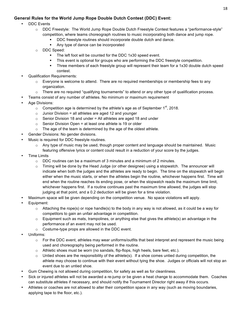#### **General Rules for the World Jump Rope Double Dutch Contest (DDC) Event:**

- DDC Events
	- o DDC Freestyle: The World Jump Rope Double Dutch Freestyle Contest features a "performance-style" competition, where teams choreograph routines to music incorporating both dance and jump rope.
		- DDC freestyle routines should incorporate double dutch and dance.
		- § Any type of dance can be incorporated
	- o DDC Speed:
		- The left foot will be counted for the DDC 1x30 speed event.
		- This event is optional for groups who are performing the DDC freestyle competition.
		- § Three members of each freestyle group will represent their team for a 1x30 double dutch speed contest.
- Qualification Requirements:
	- $\circ$  Everyone is welcome to attend. There are no required memberships or membership fees to any organization.
	- $\circ$  There are no required "qualifying tournaments" to attend or any other type of qualification process.
- Teams consist of any number of athletes. No minimum or maximum requirement
- Age Divisions:
	- $\circ$  Competition age is determined by the athlete's age as of September 1<sup>st</sup>, 2018.
	- $\circ$  Junior Division = all athletes are aged 12 and younger
	- $\circ$  Senior Division 18 and under = All athletes are aged 18 and under
	- $\circ$  Senior Division Open = at least one athlete is 19 or older
	- $\circ$  The age of the team is determined by the age of the oldest athlete.
- Gender Divisions: No gender divisions.
- Music is required for DDC freestyle routines.
	- $\circ$  Any type of music may be used, though proper content and language should be maintained. Music featuring offensive lyrics or content could result in a reduction of your score by the judges.
- **Time Limits** 
	- $\circ$  DDC routines can be a maximum of 3 minutes and a minimum of 2 minutes.
	- $\circ$  Timing will be done by the Head Judge (or other designee) using a stopwatch. The announcer will indicate when both the judges and the athletes are ready to begin. The time on the stopwatch will begin either when the music starts, or when the athletes begin the routine, whichever happens first. Time will end when the routine reaches its ending pose, or when the stopwatch reads the maximum time limit, whichever happens first. If a routine continues past the maximum time allowed, the judges will stop judging at that point, and a 0.2 deduction will be given for a time violation.
- Maximum space will be given depending on the competition venue. No space violations will apply.
- Equipment:
	- $\circ$  Attaching the rope(s) or rope handle(s) to the body in any way is not allowed, as it could be a way for competitors to gain an unfair advantage in competition.
	- $\circ$  Equipment such as mats, trampolines, or anything else that gives the athlete(s) an advantage in the performance of an event may not be used.
	- o Costume-type props are allowed in the DDC event.
- Uniforms:
	- $\circ$  For the DDC event, athletes may wear uniforms/outfits that best interpret and represent the music being used and choreography being performed in the routine.
	- $\circ$  Athletic shoes must be worn (no sandals, flip-flops, high heels, bare feet, etc.).
	- $\circ$  Untied shoes are the responsibility of the athlete(s). If a shoe comes untied during competition, the athlete may choose to continue with their event without tying the shoe. Judges or officials will not stop an event due to an untied shoe.
- Gum Chewing is not allowed during competition, for safety as well as for cleanliness.
- Sick or injured athletes will not be awarded a re-jump or be given a heat change to accommodate them. Coaches can substitute athletes if necessary, and should notify the Tournament Director right away if this occurs.
- Athletes or coaches are not allowed to alter their competition space in any way (such as moving boundaries, applying tape to the floor, etc.).